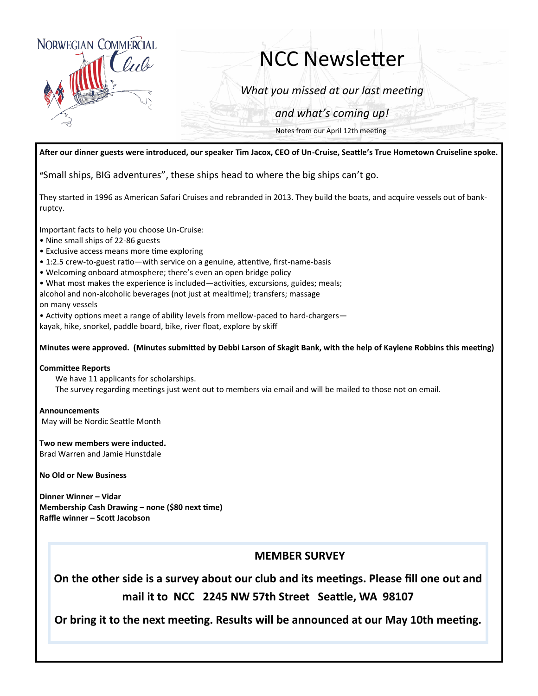

# NCC Newsletter

*What you missed at our last meeting*

*and what's coming up!*

Notes from our April 12th meeting

**After our dinner guests were introduced, our speaker Tim Jacox, CEO of Un-Cruise, Seattle's True Hometown Cruiseline spoke.** 

**"**Small ships, BIG adventures", these ships head to where the big ships can't go.

They started in 1996 as American Safari Cruises and rebranded in 2013. They build the boats, and acquire vessels out of bankruptcy.

Important facts to help you choose Un-Cruise:

- Nine small ships of 22-86 guests
- Exclusive access means more time exploring
- 1:2.5 crew-to-guest ratio—with service on a genuine, attentive, first-name-basis
- Welcoming onboard atmosphere; there's even an open bridge policy
- What most makes the experience is included—activities, excursions, guides; meals;
- alcohol and non-alcoholic beverages (not just at mealtime); transfers; massage on many vessels

• Activity options meet a range of ability levels from mellow-paced to hard-chargers—

kayak, hike, snorkel, paddle board, bike, river float, explore by skiff

#### **Minutes were approved. (Minutes submitted by Debbi Larson of Skagit Bank, with the help of Kaylene Robbins this meeting)**

#### **Committee Reports**

We have 11 applicants for scholarships. The survey regarding meetings just went out to members via email and will be mailed to those not on email.

**Announcements** May will be Nordic Seattle Month

**Two new members were inducted.** Brad Warren and Jamie Hunstdale

**No Old or New Business**

**Dinner Winner – Vidar Membership Cash Drawing – none (\$80 next time) Raffle winner – Scott Jacobson**

### **MEMBER SURVEY**

**On the other side is a survey about our club and its meetings. Please fill one out and mail it to NCC 2245 NW 57th Street Seattle, WA 98107**

**Or bring it to the next meeting. Results will be announced at our May 10th meeting.**